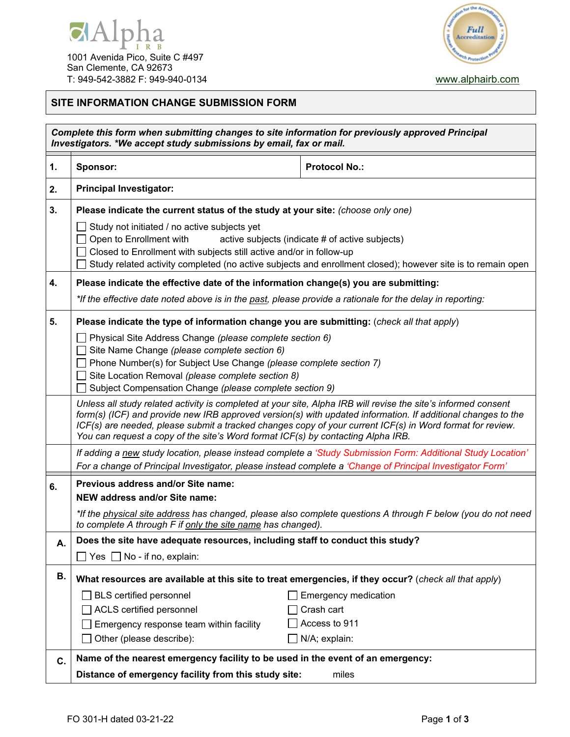



## **SITE INFORMATION CHANGE SUBMISSION FORM**

| Complete this form when submitting changes to site information for previously approved Principal<br>Investigators. *We accept study submissions by email, fax or mail. |                                                                                                                                                                                                                                                                                                                                                                                                                                 |                                                                                                              |  |  |
|------------------------------------------------------------------------------------------------------------------------------------------------------------------------|---------------------------------------------------------------------------------------------------------------------------------------------------------------------------------------------------------------------------------------------------------------------------------------------------------------------------------------------------------------------------------------------------------------------------------|--------------------------------------------------------------------------------------------------------------|--|--|
| 1.                                                                                                                                                                     | <b>Sponsor:</b>                                                                                                                                                                                                                                                                                                                                                                                                                 | <b>Protocol No.:</b>                                                                                         |  |  |
| 2.                                                                                                                                                                     | <b>Principal Investigator:</b>                                                                                                                                                                                                                                                                                                                                                                                                  |                                                                                                              |  |  |
| 3.                                                                                                                                                                     | Please indicate the current status of the study at your site: (choose only one)                                                                                                                                                                                                                                                                                                                                                 |                                                                                                              |  |  |
|                                                                                                                                                                        | Study not initiated / no active subjects yet<br>Open to Enrollment with<br>active subjects (indicate # of active subjects)<br>Closed to Enrollment with subjects still active and/or in follow-up<br>Study related activity completed (no active subjects and enrollment closed); however site is to remain open                                                                                                                |                                                                                                              |  |  |
| 4.                                                                                                                                                                     | Please indicate the effective date of the information change(s) you are submitting:                                                                                                                                                                                                                                                                                                                                             |                                                                                                              |  |  |
|                                                                                                                                                                        | *If the effective date noted above is in the past, please provide a rationale for the delay in reporting:                                                                                                                                                                                                                                                                                                                       |                                                                                                              |  |  |
| 5.                                                                                                                                                                     | Please indicate the type of information change you are submitting: (check all that apply)                                                                                                                                                                                                                                                                                                                                       |                                                                                                              |  |  |
|                                                                                                                                                                        | Physical Site Address Change (please complete section 6)<br>Site Name Change (please complete section 6)<br>Phone Number(s) for Subject Use Change (please complete section 7)<br>Site Location Removal (please complete section 8)<br>Subject Compensation Change (please complete section 9)                                                                                                                                  |                                                                                                              |  |  |
|                                                                                                                                                                        | Unless all study related activity is completed at your site, Alpha IRB will revise the site's informed consent<br>form(s) (ICF) and provide new IRB approved version(s) with updated information. If additional changes to the<br>ICF(s) are needed, please submit a tracked changes copy of your current ICF(s) in Word format for review.<br>You can request a copy of the site's Word format ICF(s) by contacting Alpha IRB. |                                                                                                              |  |  |
|                                                                                                                                                                        |                                                                                                                                                                                                                                                                                                                                                                                                                                 | If adding a new study location, please instead complete a 'Study Submission Form: Additional Study Location' |  |  |
|                                                                                                                                                                        | For a change of Principal Investigator, please instead complete a 'Change of Principal Investigator Form'                                                                                                                                                                                                                                                                                                                       |                                                                                                              |  |  |
| 6.                                                                                                                                                                     | Previous address and/or Site name:<br>NEW address and/or Site name:                                                                                                                                                                                                                                                                                                                                                             |                                                                                                              |  |  |
|                                                                                                                                                                        | *If the physical site address has changed, please also complete questions A through F below (you do not need<br>to complete A through F if only the site name has changed).                                                                                                                                                                                                                                                     |                                                                                                              |  |  |
| Α.                                                                                                                                                                     | Does the site have adequate resources, including staff to conduct this study?                                                                                                                                                                                                                                                                                                                                                   |                                                                                                              |  |  |
|                                                                                                                                                                        | Yes $\Box$ No - if no, explain:                                                                                                                                                                                                                                                                                                                                                                                                 |                                                                                                              |  |  |
| В.                                                                                                                                                                     | What resources are available at this site to treat emergencies, if they occur? (check all that apply)                                                                                                                                                                                                                                                                                                                           |                                                                                                              |  |  |
|                                                                                                                                                                        | <b>BLS</b> certified personnel                                                                                                                                                                                                                                                                                                                                                                                                  | <b>Emergency medication</b>                                                                                  |  |  |
|                                                                                                                                                                        | ACLS certified personnel                                                                                                                                                                                                                                                                                                                                                                                                        | Crash cart                                                                                                   |  |  |
|                                                                                                                                                                        | Emergency response team within facility                                                                                                                                                                                                                                                                                                                                                                                         | Access to 911                                                                                                |  |  |
|                                                                                                                                                                        | Other (please describe):                                                                                                                                                                                                                                                                                                                                                                                                        | N/A; explain:                                                                                                |  |  |
| C.                                                                                                                                                                     | Name of the nearest emergency facility to be used in the event of an emergency:                                                                                                                                                                                                                                                                                                                                                 |                                                                                                              |  |  |
|                                                                                                                                                                        | Distance of emergency facility from this study site:                                                                                                                                                                                                                                                                                                                                                                            | miles                                                                                                        |  |  |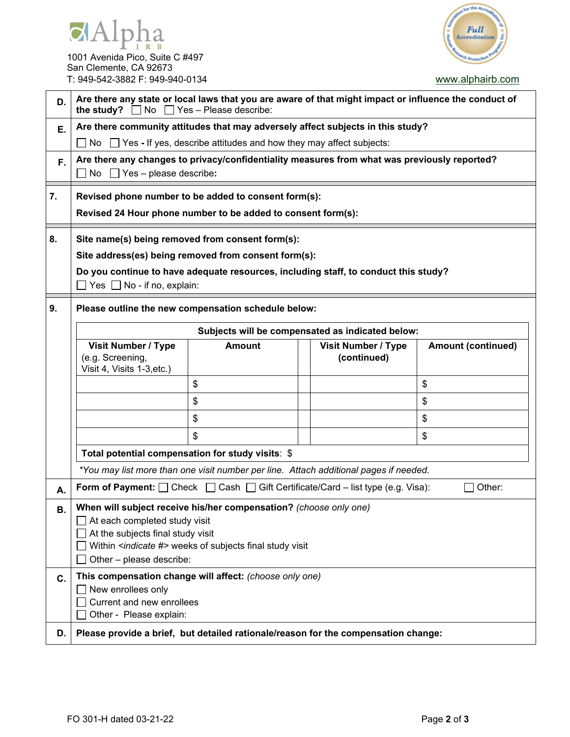



| San Clemente, CA 92673          |  |  |
|---------------------------------|--|--|
| T: 949-542-3882 F: 949-940-0134 |  |  |

[www.alphairb.com](http://www.alphairb.com/)

| D.       | Are there any state or local laws that you are aware of that might impact or influence the conduct of<br>$\Box$ Yes - Please describe:<br>the study?<br><b>No</b>                                                                             |                                                                                                 |                                                  |                           |  |  |  |
|----------|-----------------------------------------------------------------------------------------------------------------------------------------------------------------------------------------------------------------------------------------------|-------------------------------------------------------------------------------------------------|--------------------------------------------------|---------------------------|--|--|--|
| Ε.       | Are there community attitudes that may adversely affect subjects in this study?                                                                                                                                                               |                                                                                                 |                                                  |                           |  |  |  |
|          | No $\Box$ Yes - If yes, describe attitudes and how they may affect subjects:                                                                                                                                                                  |                                                                                                 |                                                  |                           |  |  |  |
| F.       | Are there any changes to privacy/confidentiality measures from what was previously reported?<br>$\Box$ No $\Box$ Yes – please describe:                                                                                                       |                                                                                                 |                                                  |                           |  |  |  |
| 7.       | Revised phone number to be added to consent form(s):                                                                                                                                                                                          |                                                                                                 |                                                  |                           |  |  |  |
|          | Revised 24 Hour phone number to be added to consent form(s):                                                                                                                                                                                  |                                                                                                 |                                                  |                           |  |  |  |
| 8.       | Site name(s) being removed from consent form(s):<br>Site address(es) being removed from consent form(s):<br>Do you continue to have adequate resources, including staff, to conduct this study?<br>$\Box$ Yes $\Box$ No - if no, explain:     |                                                                                                 |                                                  |                           |  |  |  |
| 9.       | Please outline the new compensation schedule below:                                                                                                                                                                                           |                                                                                                 |                                                  |                           |  |  |  |
|          |                                                                                                                                                                                                                                               |                                                                                                 | Subjects will be compensated as indicated below: |                           |  |  |  |
|          | <b>Visit Number / Type</b><br>(e.g. Screening,<br>Visit 4, Visits 1-3, etc.)                                                                                                                                                                  | <b>Amount</b>                                                                                   | <b>Visit Number / Type</b><br>(continued)        | <b>Amount (continued)</b> |  |  |  |
|          |                                                                                                                                                                                                                                               | \$                                                                                              |                                                  | \$                        |  |  |  |
|          |                                                                                                                                                                                                                                               | \$                                                                                              |                                                  | \$                        |  |  |  |
|          |                                                                                                                                                                                                                                               | \$                                                                                              |                                                  | \$                        |  |  |  |
|          |                                                                                                                                                                                                                                               | \$                                                                                              |                                                  | \$                        |  |  |  |
|          |                                                                                                                                                                                                                                               | Total potential compensation for study visits: \$                                               |                                                  |                           |  |  |  |
|          |                                                                                                                                                                                                                                               | *You may list more than one visit number per line. Attach additional pages if needed.           |                                                  |                           |  |  |  |
| Α.       |                                                                                                                                                                                                                                               | Form of Payment: $\Box$ Check $\Box$ Cash $\Box$ Gift Certificate/Card – list type (e.g. Visa): |                                                  | Other:                    |  |  |  |
| В.       | When will subject receive his/her compensation? (choose only one)<br>At each completed study visit<br>At the subjects final study visit<br>Within <indicate #=""> weeks of subjects final study visit<br/>Other - please describe:</indicate> |                                                                                                 |                                                  |                           |  |  |  |
| C.<br>D. | This compensation change will affect: (choose only one)<br>New enrollees only<br>Current and new enrollees<br>Other - Please explain:<br>Please provide a brief, but detailed rationale/reason for the compensation change:                   |                                                                                                 |                                                  |                           |  |  |  |
|          |                                                                                                                                                                                                                                               |                                                                                                 |                                                  |                           |  |  |  |